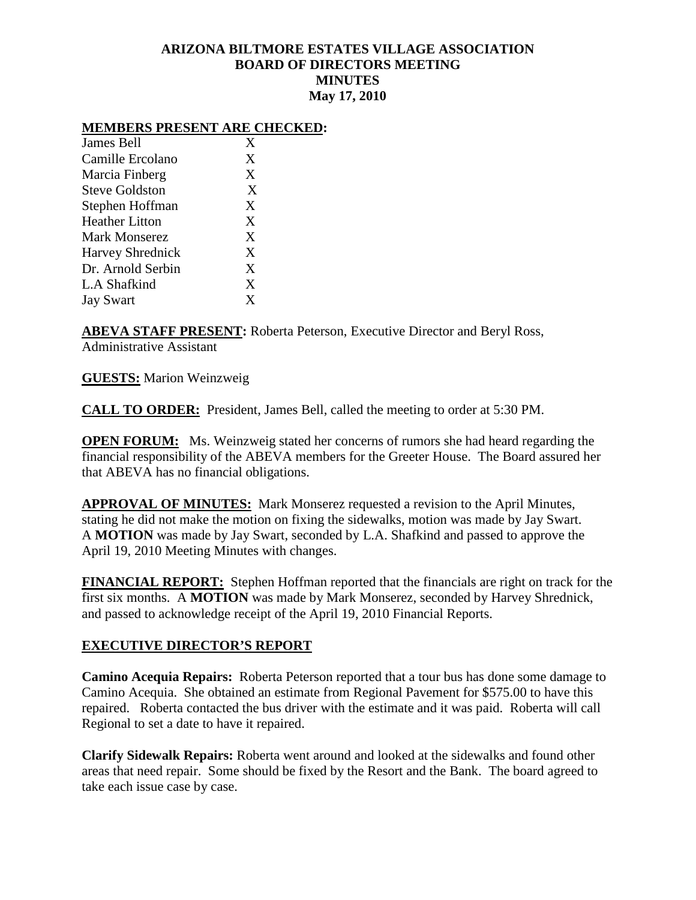# **ARIZONA BILTMORE ESTATES VILLAGE ASSOCIATION BOARD OF DIRECTORS MEETING MINUTES May 17, 2010**

#### **MEMBERS PRESENT ARE CHECKED:**

| James Bell              | X |
|-------------------------|---|
| Camille Ercolano        | X |
| Marcia Finberg          | X |
| <b>Steve Goldston</b>   | X |
| Stephen Hoffman         | X |
| <b>Heather Litton</b>   | X |
| Mark Monserez           | X |
| <b>Harvey Shrednick</b> | X |
| Dr. Arnold Serbin       | X |
| L.A Shafkind            | X |
| <b>Jay Swart</b>        | X |

**ABEVA STAFF PRESENT:** Roberta Peterson, Executive Director and Beryl Ross, Administrative Assistant

**GUESTS:** Marion Weinzweig

**CALL TO ORDER:** President, James Bell, called the meeting to order at 5:30 PM.

**OPEN FORUM:** Ms. Weinzweig stated her concerns of rumors she had heard regarding the financial responsibility of the ABEVA members for the Greeter House. The Board assured her that ABEVA has no financial obligations.

**APPROVAL OF MINUTES:** Mark Monserez requested a revision to the April Minutes, stating he did not make the motion on fixing the sidewalks, motion was made by Jay Swart. A **MOTION** was made by Jay Swart, seconded by L.A. Shafkind and passed to approve the April 19, 2010 Meeting Minutes with changes.

**FINANCIAL REPORT:** Stephen Hoffman reported that the financials are right on track for the first six months. A **MOTION** was made by Mark Monserez, seconded by Harvey Shrednick, and passed to acknowledge receipt of the April 19, 2010 Financial Reports.

### **EXECUTIVE DIRECTOR'S REPORT**

**Camino Acequia Repairs:** Roberta Peterson reported that a tour bus has done some damage to Camino Acequia. She obtained an estimate from Regional Pavement for \$575.00 to have this repaired. Roberta contacted the bus driver with the estimate and it was paid. Roberta will call Regional to set a date to have it repaired.

**Clarify Sidewalk Repairs:** Roberta went around and looked at the sidewalks and found other areas that need repair. Some should be fixed by the Resort and the Bank. The board agreed to take each issue case by case.